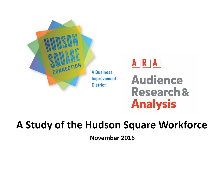

# $A | R | A |$ **Audience Research & Analysis**

# **A Study of the Hudson Square Workforce**

**November 2016**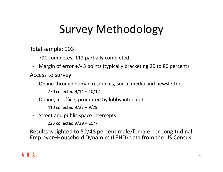# Survey Methodology

Total sample: 903

- 791 completes; 112 partially completed
- Margin of error +/- 3 points (typically bracketing 20 to 80 percent)

Access to survey

- Online through human resources, social media and newsletter 270 collected 9/14 – 10/12
- Online, in-office, prompted by lobby intercepts 410 collected 9/27 – 9/29
- Street and public space intercepts

223 collected 9/29 – 10/7

Results weighted to 52/48 percent male/female per Longitudinal Employer–Household Dynamics (LEHD) data from the US Census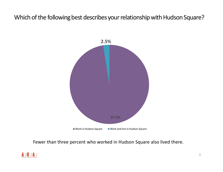## Which of the following best describes your relationship with Hudson Square?



Fewer than three percent who worked in Hudson Square also lived there.

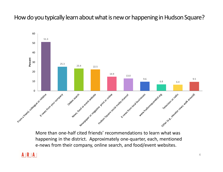How do you typically learn about what is new or happening in Hudson Square?



More than one-half cited friends' recommendations to learn what was happening in the district. Approximately one-quarter, each, mentioned e-news from their company, online search, and food/event websites.

#### $A|R|A|$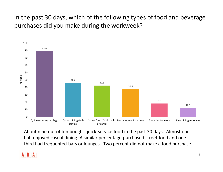In the past 30 days, which of the following types of food and beverage purchases did you make during the workweek?



About nine out of ten bought quick-service food in the past 30 days. Almost onehalf enjoyed casual dining. A similar percentage purchased street food and onethird had frequented bars or lounges. Two percent did not make a food purchase.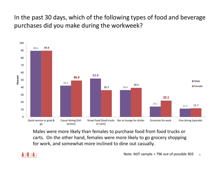In the past 30 days, which of the following types of food and beverage purchases did you make during the workweek?



Males were more likely than females to purchase food from food trucks or carts. On the other hand, females were more likely to go grocery shopping for work, and somewhat more inclined to dine out casually.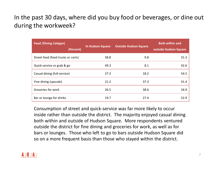# In the past 30 days, where did you buy food or beverages, or dine out during the workweek?

| <b>Food /Dining Categor(</b><br>(Percent) | <b>In Hudson Square</b> | <b>Outside Hudson Square</b> | <b>Both within and</b><br>outside Hudson Square |
|-------------------------------------------|-------------------------|------------------------------|-------------------------------------------------|
| Street food (food trucks or carts)        | 58.8                    | 9.8                          | 31.3                                            |
| Quick-service or grab & go                | 49.3                    | 8.1                          | 42.6                                            |
| Casual dining (full-service)              | 27.3                    | 18.2                         | 54.5                                            |
| Fine dining (upscale)                     | 21.2                    | 37.3                         | 41.4                                            |
| Groceries for work                        | 26.5                    | 38.6                         | 34.9                                            |
| Bar or lounge for drinks                  | 19.7                    | 27.4                         | 52.9                                            |

Consumption of street and quick-service was far more likely to occur inside rather than outside the district. The majority enjoyed casual dining both within and outside of Hudson Square. More respondents ventured outside the district for fine dining and groceries for work, as well as for bars or lounges. Those who left to go to bars outside Hudson Square did so on a more frequent basis than those who stayed within the district.

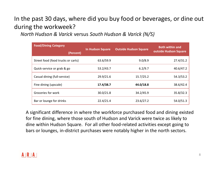# In the past 30 days, where did you buy food or beverages, or dine out during the workweek?

*North Hudson & Varick* versus *South Hudson & Varick (N/S)*

| <b>Food/Dining Category</b><br>(Percent) | <b>In Hudson Square</b> | <b>Outside Hudson Square</b> | <b>Both within and</b><br>outside Hudson Square |
|------------------------------------------|-------------------------|------------------------------|-------------------------------------------------|
|                                          |                         |                              |                                                 |
| Street food (food trucks or carts)       | 63.6/59.9               | 9.0/8.9                      | 27.4/31.2                                       |
| Quick-service or grab & go               | 53.2/43.7               | 6.2/9.7                      | 40.6/47.2                                       |
| Casual dining (full-service)             | 29.9/21.6               | 15.7/25.2                    | 54.3/53.2                                       |
| Fine dining (upscale)                    | 17.4/38.7               | 44.0/18.8                    | 38.6/42.4                                       |
| Groceries for work                       | 30.0/21.8               | 34.2/45.9                    | 35.8/32.3                                       |
| Bar or lounge for drinks                 | 22.4/21.4               | 23.6/27.2                    | 54.0/51.3                                       |

A significant difference in where the workforce purchased food and dining existed for fine dining, where those south of Hudson and Varick were twice as likely to dine within Hudson Square. For all other food-related activities except going to bars or lounges, in-district purchases were notably higher in the north sectors.

#### $A \mid R \mid A$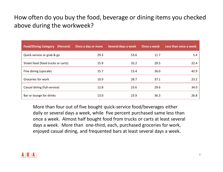# How often do you buy the food, beverage or dining items you checked above during the workweek?

| <b>Food/Dining Category (Percent)</b> | Once a day or more | Several days a week | Once a week | Less than once a week |
|---------------------------------------|--------------------|---------------------|-------------|-----------------------|
| Quick-service or grab & go            | 29.3               | 53.6                | 11.7        | 5.4                   |
| Street food (food trucks or carts)    | 15.9               | 32.2                | 29.5        | 22.4                  |
| Fine dining (upscale)                 | 15.7               | 15.4                | 26.0        | 42.9                  |
| Groceries for work                    | 10.9               | 28.7                | 37.1        | 23.2                  |
| Casual dining (full-service)          | 12.8               | 23.6                | 29.6        | 34.0                  |
| Bar or lounge for drinks              | 13.0               | 23.9                | 36.3        | 26.8                  |

More than four out of five bought quick-service food/beverages either daily or several days a week, while five percent purchased same less than once a week. Almost half bought food from trucks or carts at least several days a week. More than one-third, each, purchased groceries for work, enjoyed casual dining, and frequented bars at least several days a week.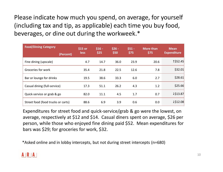Please indicate how much you spend, on average, for yourself (including tax and tip, as applicable) each time you buy food, beverages, or dine out during the workweek.\*

| <b>Food/Dining Category</b><br>(Percent) | \$15 or<br><b>less</b> | $$16 -$<br>\$25 | $$26 -$<br>\$50 | $$51 -$<br>\$75 | <b>More than</b><br>\$75 | <b>Mean</b><br><b>Expenditure</b> |
|------------------------------------------|------------------------|-----------------|-----------------|-----------------|--------------------------|-----------------------------------|
|                                          |                        |                 |                 |                 |                          |                                   |
| Fine dining (upscale)                    | 4.7                    | 14.7            | 36.0            | 23.9            | 20.6                     | 1\$52.45                          |
| Groceries for work                       | 35.4                   | 21.8            | 22.5            | 12.6            | 7.8                      | \$32.01                           |
| Bar or lounge for drinks                 | 19.5                   | 38.6            | 33.3            | 6.0             | 2.7                      | \$28.61                           |
| Casual dining (full-service)             | 17.3                   | 51.1            | 26.2            | 4.3             | 1.2                      | \$25.66                           |
| Quick-service or grab & go               | 82.0                   | 11.1            | 4.5             | 1.7             | 0.7                      | 1513.87                           |
| Street food (food trucks or carts)       | 88.6                   | 6.9             | 3.9             | 0.6             | 0.0                      | 1\$12.08                          |

Expenditures for street food and quick-service/grab & go were the lowest, on average, respectively at \$12 and \$14. Casual diners spent on average, \$26 per person, while those who enjoyed fine dining paid \$52. Mean expenditures for bars was \$29; for groceries for work, \$32.

\*Asked online and in lobby intercepts, but not during street intercepts (n=680)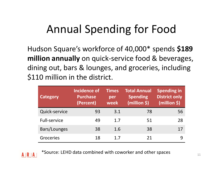# Annual Spending for Food

Hudson Square's workforce of 40,000\* spends **\$189 million annually** on quick-service food & beverages, dining out, bars & lounges, and groceries, including \$110 million in the district.

| <b>Category</b>     | Incidence of<br><b>Purchase</b><br>(Percent) | <b>Times</b><br>per<br>week | <b>Total Annual</b><br><b>Spending</b><br>(million \$) | <b>Spending in</b><br><b>District only</b><br>(million \$) |
|---------------------|----------------------------------------------|-----------------------------|--------------------------------------------------------|------------------------------------------------------------|
| Quick-service       | 93                                           | 3.1                         | 78                                                     | 56                                                         |
| <b>Full-service</b> | 49                                           | 1.7                         | 51                                                     | 28                                                         |
| Bars/Lounges        | 38                                           | 1.6                         | 38                                                     | 17                                                         |
| Groceries           | 18                                           | 1.7                         | 21                                                     |                                                            |

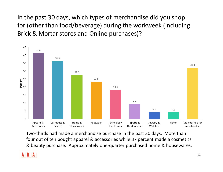In the past 30 days, which types of merchandise did you shop for (other than food/beverage) during the workweek (including Brick & Mortar stores and Online purchases)?



Two-thirds had made a merchandise purchase in the past 30 days. More than four out of ten bought apparel & accessories while 37 percent made a cosmetics & beauty purchase. Approximately one-quarter purchased home & housewares.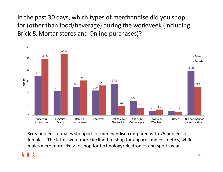In the past 30 days, which types of merchandise did you shop for (other than food/beverage) during the workweek (including Brick & Mortar stores and Online purchases)?



Sixty percent of males shopped for merchandise compared with 75 percent of females. The latter were more inclined to shop for apparel and cosmetics, while males were more likely to shop for technology/electronics and sports gear.

### A IR IA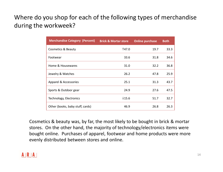# Where do you shop for each of the following types of merchandise during the workweek?

| <b>Merchandise Category (Percent)</b> | <b>Brick &amp; Mortar store</b> | <b>Online purchase</b> | <b>Both</b> |
|---------------------------------------|---------------------------------|------------------------|-------------|
| Cosmetics & Beauty                    | 147.0                           | 19.7                   | 33.3        |
| Footwear                              | 33.6                            | 31.8                   | 34.6        |
| Home & Housewares                     | 31.0                            | 32.2                   | 36.8        |
| Jewelry & Watches                     | 26.2                            | 47.8                   | 25.9        |
| Apparel & Accessories                 | 25.1                            | 31.3                   | 43.7        |
| Sports & Outdoor gear                 | 24.9                            | 27.6                   | 47.5        |
| Technology, Electronics               | 115.6                           | 51.7                   | 32.7        |
| Other (books, baby stuff, cards)      | 46.9                            | 26.8                   | 26.3        |

Cosmetics & beauty was, by far, the most likely to be bought in brick & mortar stores. On the other hand, the majority of technology/electronics items were bought online. Purchases of apparel, footwear and home products were more evenly distributed between stores and online.

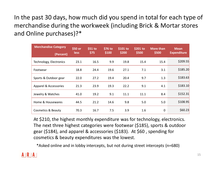In the past 30 days, how much did you spend in total for each type of merchandise during the workweek (including Brick & Mortar stores and Online purchases)?\*

| <b>Merchandise Category</b><br>(Percent) | \$50 or<br><b>less</b> | $$51$ to<br>\$75 | \$76 to<br>\$100 | $$101$ to<br>\$200 | $$201$ to<br>\$500 | <b>More than</b><br>\$500 | <b>Mean</b><br><b>Expenditure</b> |
|------------------------------------------|------------------------|------------------|------------------|--------------------|--------------------|---------------------------|-----------------------------------|
| Technology, Electronics                  | 23.1                   | 16.5             | 9.9              | 19.8               | 15.4               | 15.4                      | \$209.55                          |
| Footwear                                 | 18.8                   | 24.4             | 19.6             | 27.1               | 7.1                | 3.1                       | \$185.20                          |
| Sports & Outdoor gear                    | 22.0                   | 27.2             | 19.4             | 20.4               | 9.7                | 1.3                       | \$183.63                          |
| Apparel & Accessories                    | 21.3                   | 23.9             | 19.3             | 22.2               | 9.1                | 4.1                       | \$183.10                          |
| Jewelry & Watches                        | 41.0                   | 19.2             | 9.1              | 11.1               | 11.1               | 8.4                       | \$152.31                          |
| Home & Housewares                        | 44.5                   | 21.2             | 14.6             | 9.8                | 5.0                | 5.0                       | \$108.95                          |
| Cosmetics & Beauty                       | 70.3                   | 16.7             | 7.5              | 3.9                | 1.6                | $\mathbf 0$               | \$60.23                           |

At \$210, the highest monthly expenditure was for technology, electronics. The next three highest categories were footwear (\$185), sports & outdoor gear (\$184), and apparel & accessories (\$183). At \$60 , spending for cosmetics & beauty expenditures was the lowest.

\*Asked online and in lobby intercepts, but not during street intercepts (n=680)

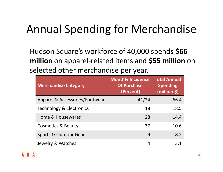# Annual Spending for Merchandise

Hudson Square's workforce of 40,000 spends **\$66 million** on apparel-related items and **\$55 million** on selected other merchandise per year.

| <b>Merchandise Category</b>    | <b>Monthly Incidence</b><br><b>Of Purchase</b><br>(Percent) | <b>Total Annual</b><br><b>Spending</b><br>(million \$) |
|--------------------------------|-------------------------------------------------------------|--------------------------------------------------------|
| Apparel & Accessories/Footwear | 41/24                                                       | 66.4                                                   |
| Technology & Electronics       | 18                                                          | 18.5                                                   |
| Home & Housewares              | 28                                                          | 14.4                                                   |
| <b>Cosmetics &amp; Beauty</b>  | 37                                                          | 10.6                                                   |
| Sports & Outdoor Gear          | 9                                                           | 8.2                                                    |
| Jewelry & Watches              | 4                                                           | 3.1                                                    |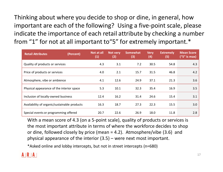Thinking about where you decide to shop or dine, in general, how important are each of the following? Using a five-point scale, please indicate the importance of each retail attribute by checking a number from "1" for not at all important to"5" for extremely important.\*

| <b>Retail Attributes</b>                     | (Percent) | Not at all<br>(1) | Not very<br>(2) | <b>Somewhat</b><br>(3) | <b>Very</b><br>(4) | <b>Extremely</b><br>(5) | <b>Mean Score</b><br>("5" is max) |
|----------------------------------------------|-----------|-------------------|-----------------|------------------------|--------------------|-------------------------|-----------------------------------|
| Quality of products or services              |           | 4.3               | 3.1             | 7.2                    | 30.5               | 54.8                    | 4.3                               |
| Price of products or services                |           | 4.0               | 2.1             | 15.7                   | 31.5               | 46.8                    | 4.2                               |
| Atmosphere, vibe or ambience                 |           | 4.1               | 12.6            | 24.9                   | 37.1               | 21.3                    | 3.6                               |
| Physical appearance of the interior space    |           | 5.3               | 10.1            | 32.3                   | 35.4               | 16.9                    | 3.5                               |
| Inclusion of locally-owned business          |           | 12.4              | 16.2            | 31.4                   | 24.6               | 15.4                    | 3.1                               |
| Availability of organic/sustainable products |           | 16.3              | 18.7            | 27.3                   | 22.3               | 15.5                    | 3.0                               |
| Special events or programming offered        |           | 20.7              | 22.6            | 26.9                   | 18.0               | 11.8                    | 2.8                               |

With a mean score of 4.3 (on a 5-point scale), quality of products or services is the most important attribute in terms of where the workforce decides to shop or dine, followed closely by price (mean = 4.2). Atmosphere/vibe (3.6) and physical appearance of the interior (3.5) – were next most important.

\*Asked online and lobby intercepts, but not in street intercepts (n=680)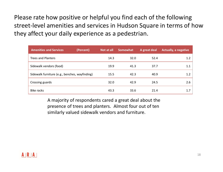Please rate how positive or helpful you find each of the following street-level amenities and services in Hudson Square in terms of how they affect your daily experience as a pedestrian.

| <b>Amenities and Services</b>                  | (Percent) | Not at all | Somewhat | A great deal | <b>Actually, a negative</b> |
|------------------------------------------------|-----------|------------|----------|--------------|-----------------------------|
| <b>Trees and Planters</b>                      |           | 14.3       | 32.0     | 52.4         | 1.2                         |
| Sidewalk vendors (food)                        |           | 19.9       | 41.3     | 37.7         | 1.1                         |
| Sidewalk furniture (e.g., benches, wayfinding) |           | 15.5       | 42.3     | 40.9         | 1.2                         |
| Crossing guards                                |           | 32.0       | 42.9     | 24.5         | 2.6                         |
| Bike racks                                     |           | 43.3       | 33.6     | 21.4         | 1.7                         |

A majority of respondents cared a great deal about the presence of trees and planters. Almost four out of ten similarly valued sidewalk vendors and furniture.

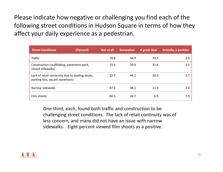Please indicate how negative or challenging you find each of the following street conditions in Hudson Square in terms of how they affect your daily experience as a pedestrian.

| <b>Street Conditions</b>                                                            | (Percent) | Not at all | <b>Somewhat</b> | A great deal | <b>Actually, a positive</b> |
|-------------------------------------------------------------------------------------|-----------|------------|-----------------|--------------|-----------------------------|
| <b>Traffic</b>                                                                      |           | 19.8       | 44.9            | 33.3         | 2.0                         |
| Construction (scaffolding, pavement work,<br>closed sidewalks)                      |           | 15.3       | 50.9            | 31.6         | 2.2                         |
| Lack of retail continuity due to loading docks,<br>parking lots, vacant storefronts |           | 32.7       | 44.1            | 20.5         | 2.7                         |
| Narrow sidewalks                                                                    |           | 47.6       | 38.1            | 11.9         | 2.4                         |
| Film shoots                                                                         |           | 60.5       | 24.7            | 6.9          | 7.9                         |

One-third, each, found both traffic and construction to be challenging street conditions. The lack of retail continuity was of less concern, and many did not have an issue with narrow sidewalks. Eight percent viewed film shoots as a positive.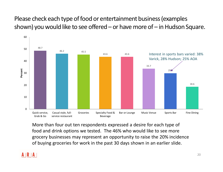# Please check each type of food or entertainment business (examples shown) you would like to see offered – or have more of – in Hudson Square.



More than four out ten respondents expressed a desire for each type of food and drink options we tested. The 46% who would like to see more grocery businesses may represent an opportunity to raise the 20% incidence of buying groceries for work in the past 30 days shown in an earlier slide.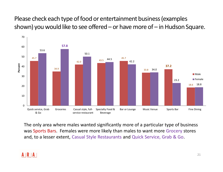Please check each type of food or entertainment business (examples shown) you would like to see offered – or have more of – in Hudson Square.



The only area where males wanted significantly more of a particular type of business was Sports Bars. Females were more likely than males to want more Grocery stores and, to a lesser extent, Casual Style Restaurants and Quick Service, Grab & Go.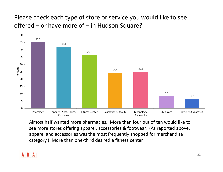Please check each type of store or service you would like to see offered – or have more of – in Hudson Square?



Almost half wanted more pharmacies. More than four out of ten would like to see more stores offering apparel, accessories & footwear. (As reported above, apparel and accessories was the most frequently shopped for merchandise category.) More than one-third desired a fitness center.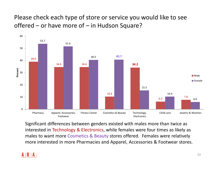Please check each type of store or service you would like to see offered – or have more of – in Hudson Square?



Significant differences between genders existed with males more than twice as interested in Technology & Electronics, while females were four times as likely as males to want more Cosmetics & Beauty stores offered. Females were relatively more interested in more Pharmacies and Apparel, Accessories & Footwear stores.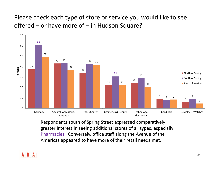Please check each type of store or service you would like to see offered – or have more of – in Hudson Square?



Respondents south of Spring Street expressed comparatively greater interest in seeing additional stores of all types, especially Pharmacies. Conversely, office staff along the Avenue of the Americas appeared to have more of their retail needs met.

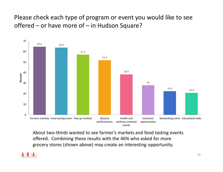Please check each type of program or event you would like to see offered – or have more of – in Hudson Square?



About two-thirds wanted to see farmer's markets and food tasting events offered. Combining these results with the 46% who asked for more grocery stores (shown above) may create an interesting opportunity.

### $A \mid R \mid A$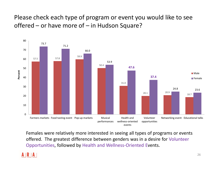Please check each type of program or event you would like to see offered – or have more of – in Hudson Square?



Females were relatively more interested in seeing all types of programs or events offered. The greatest difference between genders was in a desire for Volunteer Opportunities, followed by Health and Wellness-Oriented Events.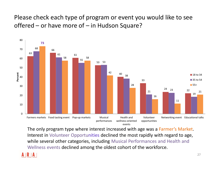Please check each type of program or event you would like to see offered – or have more of – in Hudson Square?



The only program type where interest increased with age was a Farmer's Market. Interest in Volunteer Opportunities declined the most rapidly with regard to age, while several other categories, including Musical Performances and Health and Wellness events declined among the oldest cohort of the workforce.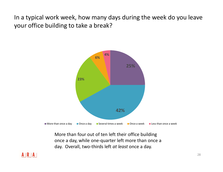In a typical work week, how many days during the week do you leave your office building to take a break?



More than four out of ten left their office building once a day, while one-quarter left more than once a day. Overall, two-thirds left *at least* once a day.

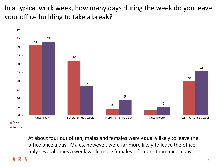In a typical work week, how many days during the week do you leave your office building to take a break?



At about four out of ten, males and females were equally likely to leave the office once a day. Males, however, were far more likely to leave the office only several times a week while more females left more than once a day.

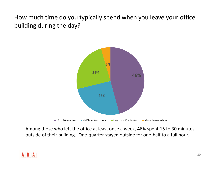How much time do you typically spend when you leave your office building during the day?



Among those who left the office at least once a week, 46% spent 15 to 30 minutes outside of their building. One-quarter stayed outside for one-half to a full hour.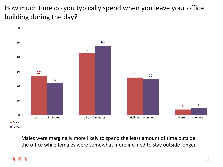How much time do you typically spend when you leave your office building during the day?



Males were marginally more likely to spend the least amount of time outside the office while females were somewhat more inclined to stay outside longer.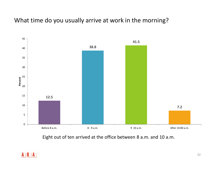# What time do you usually arrive at work in the morning?



Eight out of ten arrived at the office between 8 a.m. and 10 a.m.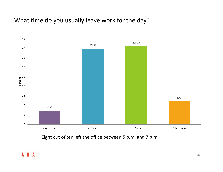## What time do you usually leave work for the day?



Eight out of ten left the office between 5 p.m. and 7 p.m.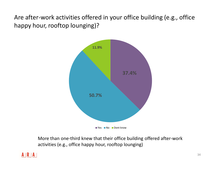Are after-work activities offered in your office building (e.g., office happy hour, rooftop lounging)?



More than one-third knew that their office building offered after-work activities (e.g., office happy hour, rooftop lounging)

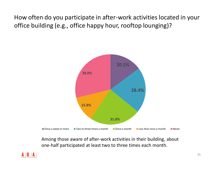How often do you participate in after-work activities located in your office building (e.g., office happy hour, rooftop lounging)?



Among those aware of after-work activities in their building, about one-half participated at least two to three times each month.

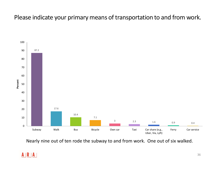# Please indicate your primary means of transportation to and from work.



Nearly nine out of ten rode the subway to and from work. One out of six walked.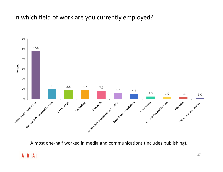# In which field of work are you currently employed?



Almost one-half worked in media and communications (includes publishing).

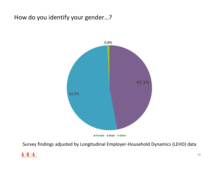# How do you identify your gender…?



Survey findings adjusted by Longitudinal Employer-Household Dynamics (LEHD) data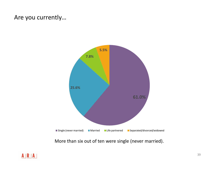# Are you currently…



More than six out of ten were single (never married).

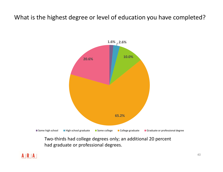# What is the highest degree or level of education you have completed?



Two-thirds had college degrees only; an additional 20 percent had graduate or professional degrees.

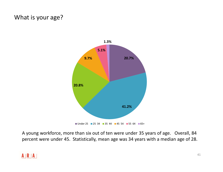# What is your age?



A young workforce, more than six out of ten were under 35 years of age. Overall, 84 percent were under 45. Statistically, mean age was 34 years with a median age of 28.